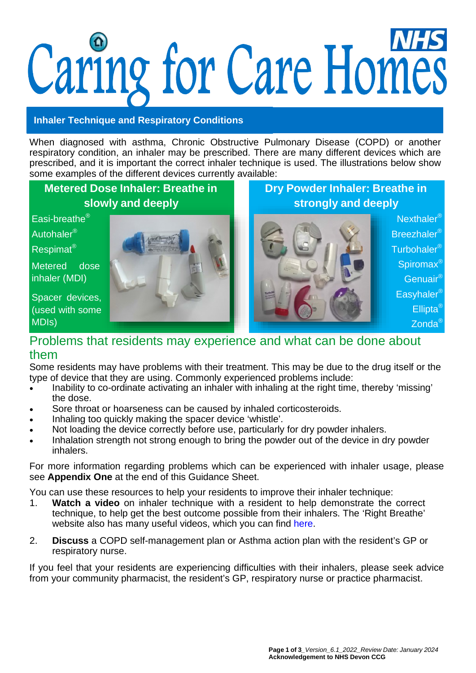# Caring for Care Homes

### **Inhaler Technique and Respiratory Conditions**

When diagnosed with asthma, Chronic Obstructive Pulmonary Disease (COPD) or another respiratory condition, an inhaler may be prescribed. There are many different devices which are prescribed, and it is important the correct inhaler technique is used. The illustrations below show some examples of the different devices currently available:

# **Metered Dose Inhaler: Breathe in slowly and deeply**

Metered dose inhaler (MDI)

Spacer devices, (used with some MDIs)



**Dry Powder Inhaler: Breathe in strongly and deeply**



Spiromax<sup>®</sup> Genuair® Easyhaler<sup>®</sup> Ellipta® Zonda<sup>®</sup>

## Problems that residents may experience and what can be done about them

Some residents may have problems with their treatment. This may be due to the drug itself or the type of device that they are using. Commonly experienced problems include:

- Inability to co-ordinate activating an inhaler with inhaling at the right time, thereby 'missing' the dose.
- Sore throat or hoarseness can be caused by inhaled corticosteroids.
- Inhaling too quickly making the spacer device 'whistle'.
- Not loading the device correctly before use, particularly for dry powder inhalers.
- Inhalation strength not strong enough to bring the powder out of the device in dry powder inhalers.

For more information regarding problems which can be experienced with inhaler usage, please see **Appendix One** at the end of this Guidance Sheet.

You can use these resources to help your residents to improve their inhaler technique:

- 1. **Watch a video** on inhaler technique with a resident to help demonstrate the correct technique, to help get the best outcome possible from their inhalers. The 'Right Breathe' website also has many useful videos, which you can find [here.](https://www.rightbreathe.com/)
- 2. **Discuss** a COPD self-management plan or Asthma action plan with the resident's GP or respiratory nurse.

If you feel that your residents are experiencing difficulties with their inhalers, please seek advice from your community pharmacist, the resident's GP, respiratory nurse or practice pharmacist.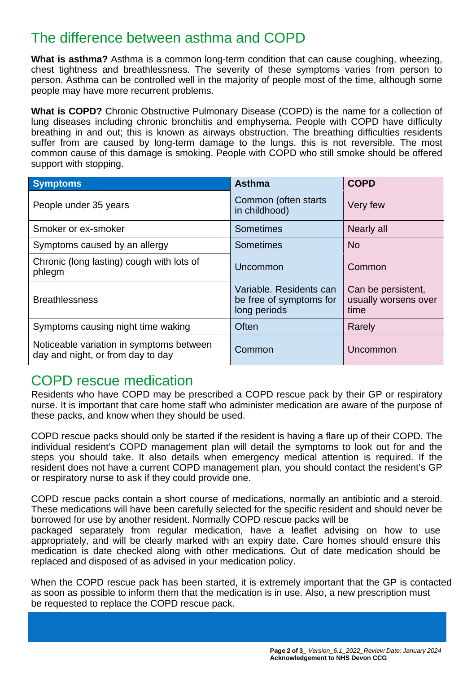# The difference between asthma and COPD

**What is asthma?** Asthma is a common long-term condition that can cause coughing, wheezing, chest tightness and breathlessness. The severity of these symptoms varies from person to person. Asthma can be controlled well in the majority of people most of the time, although some people may have more recurrent problems.

**What is COPD?** Chronic Obstructive Pulmonary Disease (COPD) is the name for a collection of lung diseases including chronic bronchitis and emphysema. People with COPD have difficulty breathing in and out; this is known as airways obstruction. The breathing difficulties residents suffer from are caused by long-term damage to the lungs. this is not reversible. The most common cause of this damage is smoking. People with COPD who still smoke should be offered support with stopping.

| <b>Symptoms</b>                                                               | <b>Asthma</b>                                                      | <b>COPD</b>                                        |
|-------------------------------------------------------------------------------|--------------------------------------------------------------------|----------------------------------------------------|
| People under 35 years                                                         | Common (often starts<br>in childhood)                              | Very few                                           |
| Smoker or ex-smoker                                                           | Sometimes                                                          | Nearly all                                         |
| Symptoms caused by an allergy                                                 | Sometimes                                                          | <b>No</b>                                          |
| Chronic (long lasting) cough with lots of<br>phlegm                           | Uncommon                                                           | Common                                             |
| <b>Breathlessness</b>                                                         | Variable, Residents can<br>be free of symptoms for<br>long periods | Can be persistent,<br>usually worsens over<br>time |
| Symptoms causing night time waking                                            | <b>Often</b>                                                       | Rarely                                             |
| Noticeable variation in symptoms between<br>day and night, or from day to day | Common                                                             | Uncommon                                           |

# COPD rescue medication

Residents who have COPD may be prescribed a COPD rescue pack by their GP or respiratory nurse. It is important that care home staff who administer medication are aware of the purpose of these packs, and know when they should be used.

COPD rescue packs should only be started if the resident is having a flare up of their COPD. The individual resident's COPD management plan will detail the symptoms to look out for and the steps you should take. It also details when emergency medical attention is required. If the resident does not have a current COPD management plan, you should contact the resident's GP or respiratory nurse to ask if they could provide one.

COPD rescue packs contain a short course of medications, normally an antibiotic and a steroid. These medications will have been carefully selected for the specific resident and should never be borrowed for use by another resident. Normally COPD rescue packs will be packaged separately from regular medication, have a leaflet advising on how to use appropriately, and will be clearly marked with an expiry date. Care homes should ensure this medication is date checked along with other medications. Out of date medication should be replaced and disposed of as advised in your medication policy.

When the COPD rescue pack has been started, it is extremely important that the GP is contacted as soon as possible to inform them that the medication is in use. Also, a new prescription must be requested to replace the COPD rescue pack.